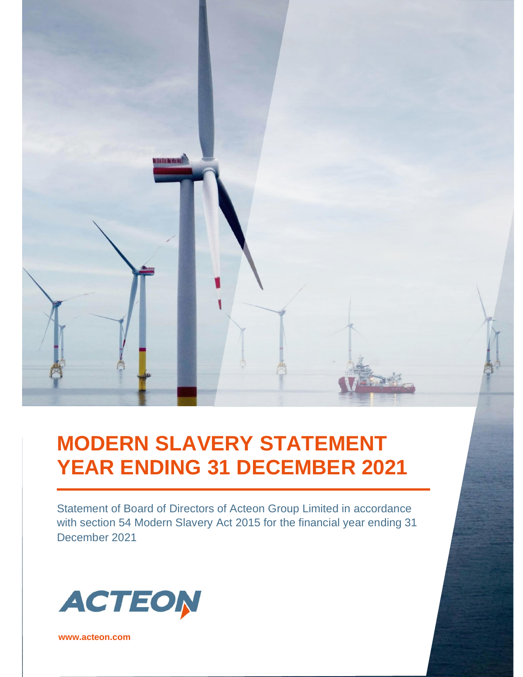# unuangi

# **MODERN SLAVERY STATEMENT YEAR ENDING 31 DECEMBER 2021**

Statement of Board of Directors of Acteon Group Limited in accordance with section 54 Modern Slavery Act 2015 for the financial year ending 31 December 2021



www.acteon.com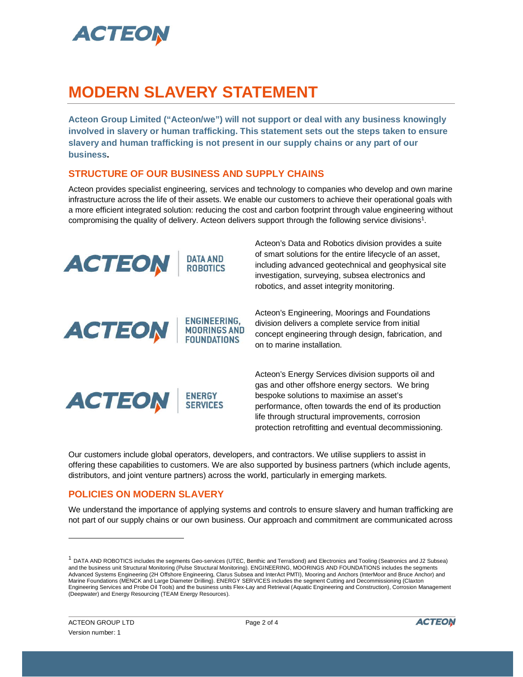

## **MODERN SLAVERY STATEMENT**

**Acteon Group Limited ("Acteon/we") will not support or deal with any business knowingly involved in slavery or human trafficking. This statement sets out the steps taken to ensure slavery and human trafficking is not present in our supply chains or any part of our business.**

### **STRUCTURE OF OUR BUSINESS AND SUPPLY CHAINS**

ENGINEERING.

**MOORINGS AND FOUNDATIONS** 

Acteon provides specialist engineering, services and technology to companies who develop and own marine infrastructure across the life of their assets. We enable our customers to achieve their operational goals with a more efficient integrated solution: reducing the cost and carbon footprint through value engineering without compromising the quality of delivery. Acteon delivers support through the following service divisions<sup>1</sup>.



**ACTEON** 

Acteon's Data and Robotics division provides a suite of smart solutions for the entire lifecycle of an asset, including advanced geotechnical and geophysical site investigation, surveying, subsea electronics and robotics, and asset integrity monitoring.

Acteon's Engineering, Moorings and Foundations division delivers a complete service from initial concept engineering through design, fabrication, and on to marine installation.



Acteon's Energy Services division supports oil and gas and other offshore energy sectors. We bring bespoke solutions to maximise an asset's performance, often towards the end of its production life through structural improvements, corrosion protection retrofitting and eventual decommissioning.

Our customers include global operators, developers, and contractors. We utilise suppliers to assist in offering these capabilities to customers. We are also supported by business partners (which include agents, distributors, and joint venture partners) across the world, particularly in emerging markets.

### **POLICIES ON MODERN SLAVERY**

We understand the importance of applying systems and controls to ensure slavery and human trafficking are not part of our supply chains or our own business. Our approach and commitment are communicated across

<sup>&</sup>lt;sup>1</sup> DATA AND ROBOTICS includes the segments Geo-services (UTEC, Benthic and TerraSond) and Electronics and Tooling (Seatronics and J2 Subsea) and the business unit Structural Monitoring (Pulse Structural Monitoring). ENGINEERING, MOORINGS AND FOUNDATIONS includes the segments Advanced Systems Engineering (2H Offshore Engineering, Clarus Subsea and InterAct PMTI), Mooring and Anchors (InterMoor and Bruce Anchor) and Marine Foundations (MENCK and Large Diameter Drilling). ENERGY SERVICES includes the segment Cutting and Decommissioning (Claxton Engineering Services and Probe Oil Tools) and the business units Flex-Lay and Retrieval (Aquatic Engineering and Construction), Corrosion Management (Deepwater) and Energy Resourcing (TEAM Energy Resources).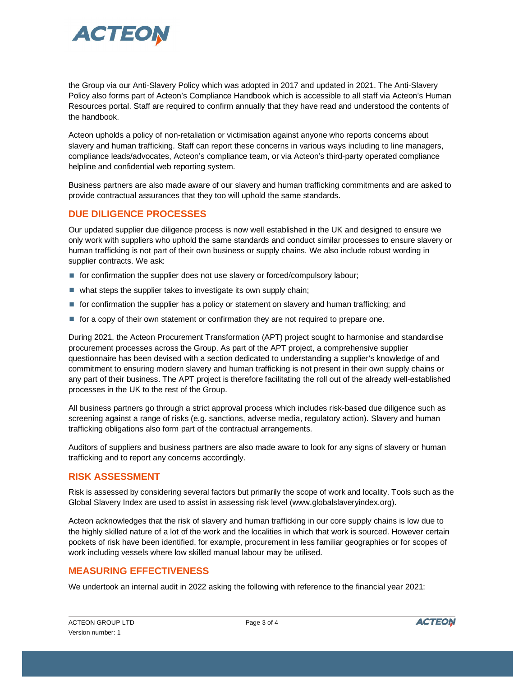

the Group via our Anti-Slavery Policy which was adopted in 2017 and updated in 2021. The Anti-Slavery Policy also forms part of Acteon's Compliance Handbook which is accessible to all staff via Acteon's Human Resources portal. Staff are required to confirm annually that they have read and understood the contents of the handbook.

Acteon upholds a policy of non-retaliation or victimisation against anyone who reports concerns about slavery and human trafficking. Staff can report these concerns in various ways including to line managers, compliance leads/advocates, Acteon's compliance team, or via Acteon's third-party operated compliance helpline and confidential web reporting system.

Business partners are also made aware of our slavery and human trafficking commitments and are asked to provide contractual assurances that they too will uphold the same standards.

### **DUE DILIGENCE PROCESSES**

Our updated supplier due diligence process is now well established in the UK and designed to ensure we only work with suppliers who uphold the same standards and conduct similar processes to ensure slavery or human trafficking is not part of their own business or supply chains. We also include robust wording in supplier contracts. We ask:

- for confirmation the supplier does not use slavery or forced/compulsory labour;
- $\blacksquare$  what steps the supplier takes to investigate its own supply chain;
- **for confirmation the supplier has a policy or statement on slavery and human trafficking; and**
- **for a copy of their own statement or confirmation they are not required to prepare one.**

During 2021, the Acteon Procurement Transformation (APT) project sought to harmonise and standardise procurement processes across the Group. As part of the APT project, a comprehensive supplier questionnaire has been devised with a section dedicated to understanding a supplier's knowledge of and commitment to ensuring modern slavery and human trafficking is not present in their own supply chains or any part of their business. The APT project is therefore facilitating the roll out of the already well-established processes in the UK to the rest of the Group.

All business partners go through a strict approval process which includes risk-based due diligence such as screening against a range of risks (e.g. sanctions, adverse media, regulatory action). Slavery and human trafficking obligations also form part of the contractual arrangements.

Auditors of suppliers and business partners are also made aware to look for any signs of slavery or human trafficking and to report any concerns accordingly.

### **RISK ASSESSMENT**

Risk is assessed by considering several factors but primarily the scope of work and locality. Tools such as the Global Slavery Index are used to assist in assessing risk level (www.globalslaveryindex.org).

Acteon acknowledges that the risk of slavery and human trafficking in our core supply chains is low due to the highly skilled nature of a lot of the work and the localities in which that work is sourced. However certain pockets of risk have been identified, for example, procurement in less familiar geographies or for scopes of work including vessels where low skilled manual labour may be utilised.

### **MEASURING EFFECTIVENESS**

We undertook an internal audit in 2022 asking the following with reference to the financial year 2021: